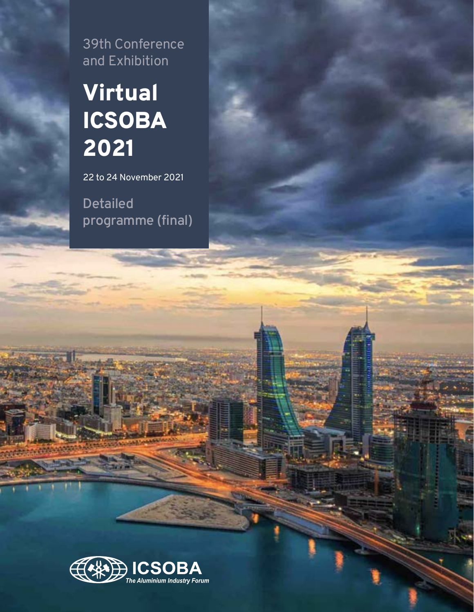39th Conference and Exhibition

## Virtual ICSOBA 2021

22 to 24 November 2021

**Detailed programme (final)**

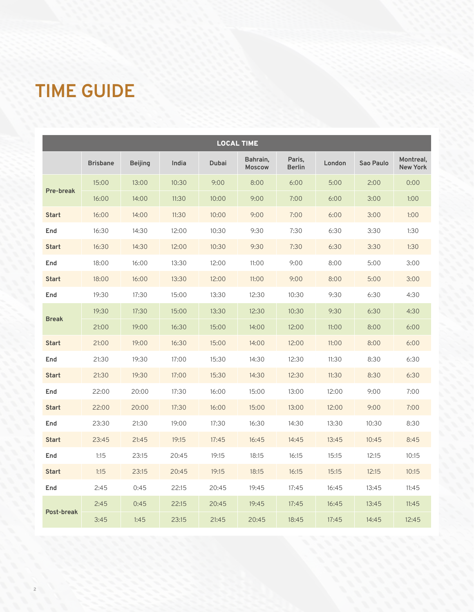### **TIME GUIDE**

|              | <b>LOCAL TIME</b> |                |       |       |                           |                         |        |           |                              |
|--------------|-------------------|----------------|-------|-------|---------------------------|-------------------------|--------|-----------|------------------------------|
|              | <b>Brisbane</b>   | <b>Beijing</b> | India | Dubai | Bahrain,<br><b>Moscow</b> | Paris,<br><b>Berlin</b> | London | Sao Paulo | Montreal,<br><b>New York</b> |
|              | 15:00             | 13:00          | 10:30 | 9:00  | 8:00                      | 6:00                    | 5:00   | 2:00      | 0:00                         |
| Pre-break    | 16:00             | 14:00          | 11:30 | 10:00 | 9:00                      | 7:00                    | 6:00   | 3:00      | 1:00                         |
| <b>Start</b> | 16:00             | 14:00          | 11:30 | 10:00 | 9:00                      | 7:00                    | 6:00   | 3:00      | 1:00                         |
| End          | 16:30             | 14:30          | 12:00 | 10:30 | 9:30                      | 7:30                    | 6:30   | 3:30      | 1:30                         |
| <b>Start</b> | 16:30             | 14:30          | 12:00 | 10:30 | 9:30                      | 7:30                    | 6:30   | 3:30      | 1:30                         |
| End          | 18:00             | 16:00          | 13:30 | 12:00 | 11:00                     | 9:00                    | 8:00   | 5:00      | 3:00                         |
| <b>Start</b> | 18:00             | 16:00          | 13:30 | 12:00 | 11:00                     | 9:00                    | 8:00   | 5:00      | 3:00                         |
| End          | 19:30             | 17:30          | 15:00 | 13:30 | 12:30                     | 10:30                   | 9:30   | 6:30      | 4:30                         |
|              | 19:30             | 17:30          | 15:00 | 13:30 | 12:30                     | 10:30                   | 9:30   | 6:30      | 4:30                         |
| <b>Break</b> | 21:00             | 19:00          | 16:30 | 15:00 | 14:00                     | 12:00                   | 11:00  | 8:00      | 6:00                         |
| <b>Start</b> | 21:00             | 19:00          | 16:30 | 15:00 | 14:00                     | 12:00                   | 11:00  | 8:00      | 6:00                         |
| End          | 21:30             | 19:30          | 17:00 | 15:30 | 14:30                     | 12:30                   | 11:30  | 8:30      | 6:30                         |
| <b>Start</b> | 21:30             | 19:30          | 17:00 | 15:30 | 14:30                     | 12:30                   | 11:30  | 8:30      | 6:30                         |
| End          | 22:00             | 20:00          | 17:30 | 16:00 | 15:00                     | 13:00                   | 12:00  | 9:00      | 7:00                         |
| <b>Start</b> | 22:00             | 20:00          | 17:30 | 16:00 | 15:00                     | 13:00                   | 12:00  | 9:00      | 7:00                         |
| End          | 23:30             | 21:30          | 19:00 | 17:30 | 16:30                     | 14:30                   | 13:30  | 10:30     | 8:30                         |
| <b>Start</b> | 23:45             | 21:45          | 19:15 | 17:45 | 16:45                     | 14:45                   | 13:45  | 10:45     | 8:45                         |
| End          | 1:15              | 23:15          | 20:45 | 19:15 | 18:15                     | 16:15                   | 15:15  | 12:15     | 10:15                        |
| <b>Start</b> | 1:15              | 23:15          | 20:45 | 19:15 | 18:15                     | 16:15                   | 15:15  | 12:15     | 10:15                        |
| End          | 2:45              | 0:45           | 22:15 | 20:45 | 19:45                     | 17:45                   | 16:45  | 13:45     | 11:45                        |
|              | 2:45              | 0:45           | 22:15 | 20:45 | 19:45                     | 17:45                   | 16:45  | 13:45     | 11:45                        |
| Post-break   | 3:45              | 1:45           | 23:15 | 21:45 | 20:45                     | 18:45                   | 17:45  | 14:45     | 12:45                        |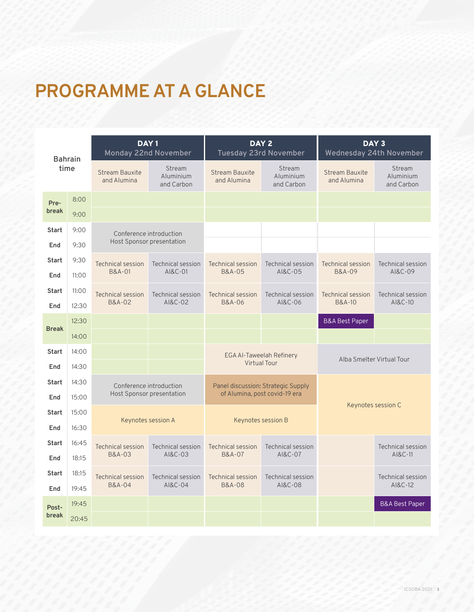### **PROGRAMME AT A GLANCE**

|              | <b>Bahrain</b> | DAY <sub>1</sub><br>Monday 22nd November |                                   | DAY <sub>2</sub>                     | <b>Tuesday 23rd November</b>       | DAY <sub>3</sub><br>Wednesday 24th November |                                   |
|--------------|----------------|------------------------------------------|-----------------------------------|--------------------------------------|------------------------------------|---------------------------------------------|-----------------------------------|
| time         |                | <b>Stream Bauxite</b><br>and Alumina     | Stream<br>Aluminium<br>and Carbon | <b>Stream Bauxite</b><br>and Alumina | Stream<br>Aluminium<br>and Carbon  | <b>Stream Bauxite</b><br>and Alumina        | Stream<br>Aluminium<br>and Carbon |
| Pre-         | 8:00           |                                          |                                   |                                      |                                    |                                             |                                   |
| break        | 9:00           |                                          |                                   |                                      |                                    |                                             |                                   |
| <b>Start</b> | 9:00           | Conference introduction                  |                                   |                                      |                                    |                                             |                                   |
| End          | 9:30           | Host Sponsor presentation                |                                   |                                      |                                    |                                             |                                   |
| <b>Start</b> | 9:30           | <b>Technical session</b>                 | <b>Technical session</b>          | <b>Technical session</b>             | <b>Technical session</b>           | <b>Technical session</b>                    | <b>Technical session</b>          |
| End          | 11:00          | B&A-01                                   | AI&C-01                           | B&A-05                               | AI&C-05                            | B&A-09                                      | AI&C-09                           |
| <b>Start</b> | 11:00          | <b>Technical session</b>                 | <b>Technical session</b>          | <b>Technical session</b>             | <b>Technical session</b>           | <b>Technical session</b>                    | <b>Technical session</b>          |
| End          | 12:30          | <b>B&amp;A-02</b>                        | AI&C-02                           | <b>B&amp;A-06</b>                    | AI&C-06                            | <b>B&amp;A-10</b>                           | AI&C-10                           |
| <b>Break</b> | 12:30          |                                          |                                   |                                      |                                    | <b>B&amp;A Best Paper</b>                   |                                   |
|              | 14:00          |                                          |                                   |                                      |                                    |                                             |                                   |
| <b>Start</b> | 14:00          |                                          |                                   | <b>EGA AI-Taweelah Refinery</b>      |                                    | Alba Smelter Virtual Tour                   |                                   |
| End          | 14:30          |                                          |                                   | <b>Virtual Tour</b>                  |                                    |                                             |                                   |
| <b>Start</b> | 14:30          | Conference introduction                  |                                   |                                      | Panel discussion: Strategic Supply |                                             |                                   |
| End          | 15:00          | Host Sponsor presentation                |                                   | of Alumina, post covid-19 era        |                                    | Keynotes session C                          |                                   |
| <b>Start</b> | 15:00          | Keynotes session A                       |                                   | Keynotes session B                   |                                    |                                             |                                   |
| End          | 16:30          |                                          |                                   |                                      |                                    |                                             |                                   |
| <b>Start</b> | 16:45          | <b>Technical session</b>                 | <b>Technical session</b>          | <b>Technical session</b>             | <b>Technical session</b>           |                                             | <b>Technical session</b>          |
| End          | 18:15          | <b>B&amp;A-03</b>                        | AI&C-03                           | <b>B&amp;A-07</b>                    | AI&C-07                            |                                             | AI&C-11                           |
| <b>Start</b> | 18:15          | <b>Technical session</b>                 | <b>Technical session</b>          | <b>Technical session</b>             | <b>Technical session</b>           |                                             | <b>Technical session</b>          |
| End          | 19:45          | <b>B&amp;A-04</b>                        | AI&C-04                           | <b>B&amp;A-08</b>                    | AI&C-08                            |                                             | AI&C-12                           |
| Post-        | 19:45          |                                          |                                   |                                      |                                    |                                             | <b>B&amp;A Best Paper</b>         |
| break        | 20:45          |                                          |                                   |                                      |                                    |                                             |                                   |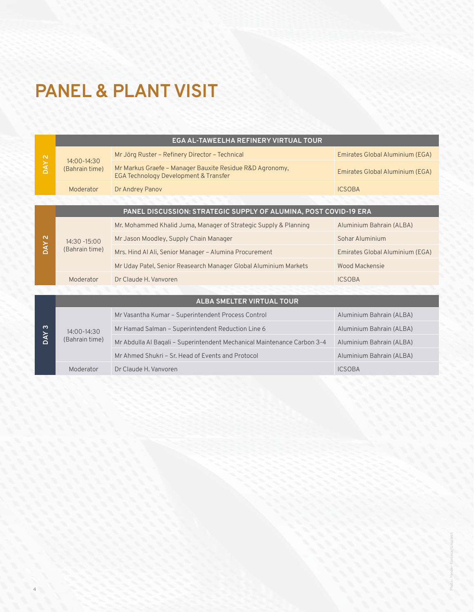### **PANEL & PLANT VISIT**

**4**

|                   |                                   | EGA AL-TAWEELHA REFINERY VIRTUAL TOUR                                                             |                                 |
|-------------------|-----------------------------------|---------------------------------------------------------------------------------------------------|---------------------------------|
| DAY <sub>2</sub>  |                                   | Mr Jörg Ruster - Refinery Director - Technical                                                    | Emirates Global Aluminium (EGA) |
|                   | $14:00 - 14:30$<br>(Bahrain time) | Mr Markus Graefe - Manager Bauxite Residue R&D Agronomy,<br>EGA Technology Development & Transfer | Emirates Global Aluminium (EGA) |
|                   | Moderator                         | Dr Andrey Panov                                                                                   | <b>ICSOBA</b>                   |
|                   |                                   |                                                                                                   |                                 |
|                   |                                   | PANEL DISCUSSION: STRATEGIC SUPPLY OF ALUMINA, POST COVID-19 ERA                                  |                                 |
|                   |                                   | Mr. Mohammed Khalid Juma, Manager of Strategic Supply & Planning                                  | Aluminium Bahrain (ALBA)        |
| $\mathbf{\Omega}$ | $14:30 - 15:00$<br>(Bahrain time) | Mr Jason Moodley, Supply Chain Manager                                                            | Sohar Aluminium                 |
| <b>NAO</b>        |                                   | Mrs. Hind Al Ali, Senior Manager - Alumina Procurement                                            | Emirates Global Aluminium (EGA) |
|                   |                                   | Mr Uday Patel, Senior Reasearch Manager Global Aluminium Markets                                  | Wood Mackensie                  |
|                   | Moderator                         | Dr Claude H. Vanvoren                                                                             | <b>ICSOBA</b>                   |
|                   |                                   |                                                                                                   |                                 |
|                   |                                   | <b>ALBA SMELTER VIRTUAL TOUR</b>                                                                  |                                 |
|                   |                                   | Mr Vasantha Kumar - Superintendent Process Control                                                | Aluminium Bahrain (ALBA)        |
| က                 | $14:00 - 14:30$                   | Mr Hamad Salman – Superintendent Reduction Line 6                                                 | Aluminium Bahrain (ALBA)        |
| <b>NAO</b>        | (Bahrain time)                    | Mr Abdulla Al Baqali - Superintendent Mechanical Maintenance Carbon 3-4                           | Aluminium Bahrain (ALBA)        |
|                   |                                   | Mr Ahmed Shukri – Sr. Head of Events and Protocol                                                 | Aluminium Bahrain (ALBA)        |
|                   | Moderator                         | Dr Claude H. Vanvoren                                                                             | <b>ICSOBA</b>                   |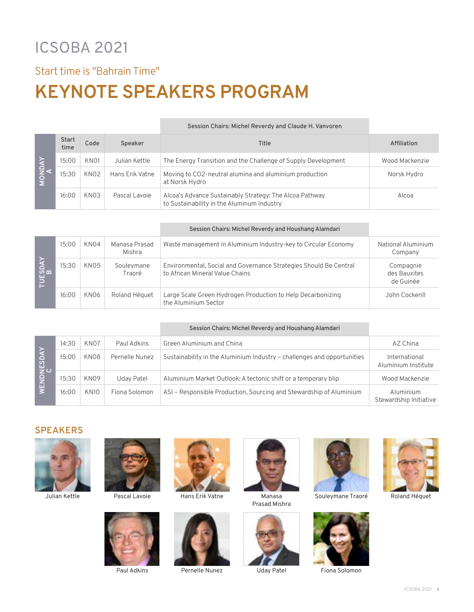### ICSOBA 2021

Start time is "Bahrain Time"

### **KEYNOTE SPEAKERS PROGRAM**

|        |                      |                  |                 | Session Chairs: Michel Reverdy and Claude H. Vanvoren                                                 |                |
|--------|----------------------|------------------|-----------------|-------------------------------------------------------------------------------------------------------|----------------|
| MONDAY | <b>Start</b><br>time | Code             | Speaker         | Title                                                                                                 | Affiliation    |
|        | 15:00                | KN <sub>01</sub> | Julian Kettle   | The Energy Transition and the Challenge of Supply Development                                         | Wood Mackenzie |
|        | 15:30                | KN <sub>02</sub> | Hans Erik Vatne | Moving to CO2-neutral alumina and aluminium production<br>at Norsk Hydro                              | Norsk Hydro    |
|        | 16:00                | KN <sub>03</sub> | Pascal Lavoie   | Alcoa's Advance Sustainably Strategy: The Alcoa Pathway<br>to Sustainability in the Aluminum Industry | Alcoa          |

|         |       |                  |                         | Session Chairs: Michel Reverdy and Houshang Alamdari                                                 |                                        |
|---------|-------|------------------|-------------------------|------------------------------------------------------------------------------------------------------|----------------------------------------|
| TUESDAY | 15:00 | KN <sub>04</sub> | Manasa Prasad<br>Mishra | Waste management in Aluminium Industry-key to Circular Economy                                       | National Aluminium<br>Company          |
|         | 15:30 | KN <sub>05</sub> | Souleymane<br>Traoré    | Environmental, Social and Governance Strategies Should Be Central<br>to African Mineral Value Chains | Compagnie<br>des Bauxites<br>de Guinée |
|         | 16:00 | KN <sub>06</sub> | Roland Héquet           | Large Scale Green Hydrogen Production to Help Decarbonizing<br>the Aluminium Sector                  | John Cockerill                         |

|            |       |                  |                | Session Chairs: Michel Reverdy and Houshang Alamdari                    |                                      |
|------------|-------|------------------|----------------|-------------------------------------------------------------------------|--------------------------------------|
|            | 14:30 | KN <sub>07</sub> | Paul Adkins    | Green Aluminium and China                                               | AZ China                             |
| WENDNESDAY | 15:00 | KN08             | Pernelle Nunez | Sustainability in the Aluminium Industry - challenges and opportunities | International<br>Aluminium Institute |
|            | 15:30 | KN <sub>09</sub> | Uday Patel     | Aluminium Market Outlook: A tectonic shift or a temporary blip          | Wood Mackenzie                       |
|            | 16:00 | <b>KN10</b>      | Fiona Solomon  | ASI – Responsible Production, Sourcing and Stewardship of Aluminium     | Aluminium<br>Stewardship Initiative  |

#### **SPEAKERS**



Julian Kettle



Pascal Lavoie



Paul Adkins



Hans Erik Vatne Manasa



Pernelle Nunez



Prasad Mishra





Souleymane Traoré Roland Héquet



Uday Patel Fiona Solomon



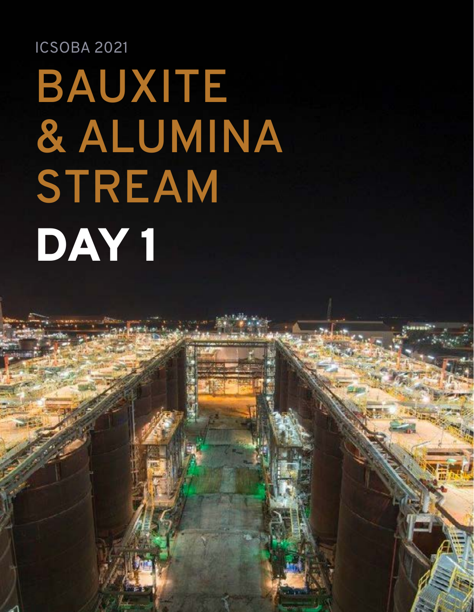### ICSOBA 2021

# **BAUXITE & ALUMINA STREAM** DAY 1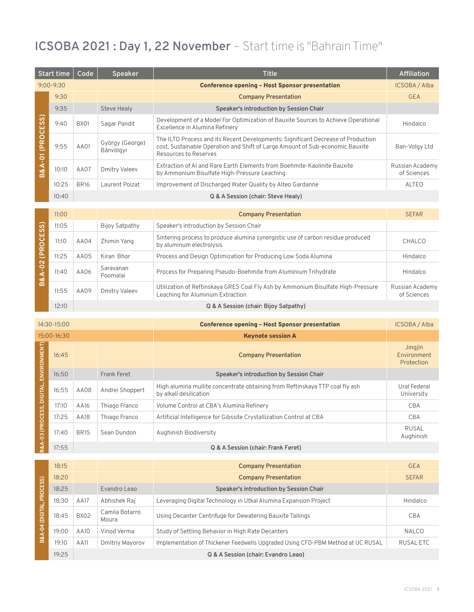#### **ICSOBA 2021 : Day 1, 22 November** – Start time is "Bahrain Time"

|               | Start time    | Code        | <b>Speaker</b>               | <b>Title</b>                                                                                                                                                                               | Affiliation                    |
|---------------|---------------|-------------|------------------------------|--------------------------------------------------------------------------------------------------------------------------------------------------------------------------------------------|--------------------------------|
|               | $9:00 - 9:30$ |             |                              | <b>Conference opening - Host Sponsor presentation</b>                                                                                                                                      | ICSOBA / Alba                  |
|               | 9:30          |             |                              | <b>Company Presentation</b>                                                                                                                                                                | <b>GEA</b>                     |
|               | 9:35          |             | <b>Steve Healy</b>           | Speaker's introduction by Session Chair                                                                                                                                                    |                                |
| (PROCESS)     | 9:40          | <b>BX01</b> | Sagar Pandit                 | Development of a Model For Optimization of Bauxite Sources to Achieve Operational<br>Excellence in Alumina Refinery                                                                        | Hindalco                       |
| ទុ            | 9:55          | AA01        | György {George}<br>Bánvölgyi | The ILTD Process and its Recent Developments: Significant Decrease of Production<br>cost, Sustainable Operation and Shift of Large Amount of Sub-economic Bauxite<br>Resources to Reserves | Ban-Volgy Ltd                  |
| $\alpha$<br>m | 10:10         | AA07        | <b>Dmitry Valeev</b>         | Extraction of AI and Rare Earth Elements from Boehmite-Kaolinite Bauxite<br>by Ammonium Bisulfate High-Pressure Leaching                                                                   | Russian Academy<br>of Sciences |
|               | 10:25         | <b>BR16</b> | Laurent Poizat               | Improvement of Discharged Water Quality by Alteo Gardanne                                                                                                                                  | ALTEO                          |
|               | 10:40         |             |                              | Q & A Session (chair: Steve Healy)                                                                                                                                                         |                                |

|                     | 11:00 |      |                       | <b>Company Presentation</b>                                                                                          | <b>SEFAR</b>                   |
|---------------------|-------|------|-----------------------|----------------------------------------------------------------------------------------------------------------------|--------------------------------|
|                     | 11:05 |      | Bijoy Satpathy        | Speaker's introduction by Session Chair                                                                              |                                |
| OCESS)<br><b>ER</b> | 11:10 | AA04 | Zhimin Yang           | Sintering process to produce alumina synergistic use of carbon residue produced<br>by aluminum electrolysis          | CHALCO                         |
|                     | 11:25 | AA05 | Kiran Bhor            | Process and Design Optimization for Producing Low Soda Alumina                                                       | Hindalco                       |
| $-02$               | 11:40 | AA06 | Saravanan<br>Poomalai | Process for Preparing Pseudo-Boehmite from Aluminium Trihydrate                                                      | Hindalco                       |
| $B\overline{8}$     | 11:55 | AA09 | Dmitry Valeev         | Utilization of Reftinskaya GRES Coal Fly Ash by Ammonium Bisulfate High-Pressure<br>Leaching for Aluminum Extraction | Russian Academy<br>of Sciences |
|                     | 12:10 |      |                       | Q & A Session (chair: Bijoy Satpathy)                                                                                |                                |

| 14:30-15:00               |             |             |                    | <b>Conference opening - Host Sponsor presentation</b>                                                  | ICSOBA / Alba                        |
|---------------------------|-------------|-------------|--------------------|--------------------------------------------------------------------------------------------------------|--------------------------------------|
|                           | 15:00-16:30 |             |                    | <b>Keynote session A</b>                                                                               |                                      |
| ENVIRONMENT)              | 16:45       |             |                    | <b>Company Presentation</b>                                                                            | Jingjin<br>Environment<br>Protection |
|                           | 16:50       |             | <b>Frank Feret</b> | Speaker's introduction by Session Chair                                                                |                                      |
|                           | 16:55       | AA08        | Andrei Shoppert    | High alumina mullite concentrate obtaining from Reftinskaya TTP coal fly ash<br>by alkali desilication | Ural Federal<br>University           |
|                           | 17:10       | AA16        | Thiago Franco      | Volume Control at CBA's Alumina Refinery                                                               | CBA                                  |
|                           | 17:25       | AA18        | Thiago Franco      | Artificial Intelligence for Gibssite Crystallization Control at CBA                                    | <b>CBA</b>                           |
| 3&A-03 (PROCESS, DIGITAL, | 17:40       | <b>BR15</b> | Sean Dundon        | Aughinish Biodiversity                                                                                 | <b>RUSAL</b><br>Aughinish            |
|                           | 17:55       |             |                    | Q & A Session (chair: Frank Feret)                                                                     |                                      |
|                           |             |             |                    |                                                                                                        |                                      |
|                           | 18:15       |             |                    | <b>Company Presentation</b>                                                                            | <b>GEA</b>                           |

|                | C131  |             |                         | Company Presentation                                                            | <b>GEA</b>   |
|----------------|-------|-------------|-------------------------|---------------------------------------------------------------------------------|--------------|
| PROCESS)       | 18:20 |             |                         | <b>Company Presentation</b>                                                     | <b>SEFAR</b> |
|                | 18:25 |             | Evandro Leao            | Speaker's introduction by Session Chair                                         |              |
|                | 18:30 | <b>AA17</b> | Abhishek Raj            | Leveraging Digital Technology in Utkal Alumina Expansion Project                | Hindalco     |
| <b>DIGITAL</b> | 18:45 | <b>BX02</b> | Camila Botarro<br>Moura | Using Decanter Centrifuge for Dewatering Bauxite Tailings                       | <b>CBA</b>   |
| Ş              | 19:00 | AA10        | Vinod Verma             | Study of Settling Behavior in High Rate Decanters                               | <b>NALCO</b> |
| B&A            | 19:10 | AA11        | Dmitriy Mayorov         | Implementation of Thickener Feedwells Upgraded Using CFD-PBM Method at UC RUSAL | RUSAL ETC    |
|                | 19:25 |             |                         | Q & A Session (chair: Evandro Leao)                                             |              |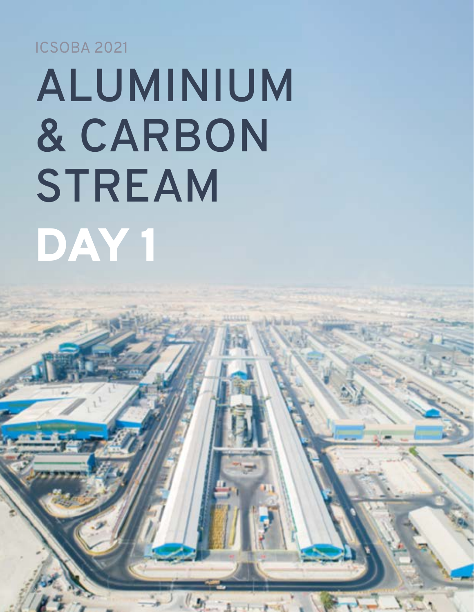ICSOBA 2021

**8**

# **ALUMINIUM & CARBON STREAM** DAY 1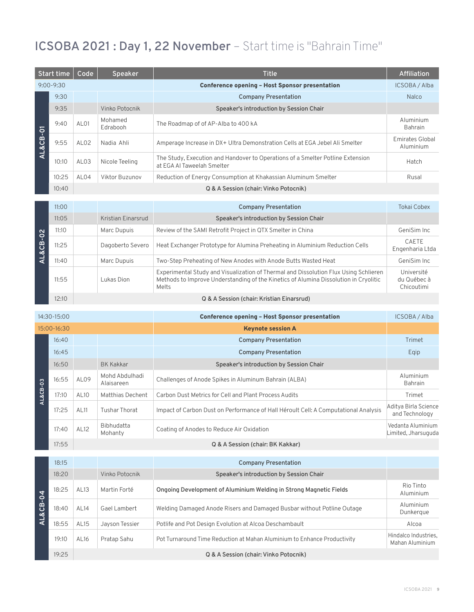#### **ICSOBA 2021 : Day 1, 22 November** – Start time is "Bahrain Time"

| Start time |               | Code             | <b>Speaker</b>      | <b>Title</b>                                                                                                 | Affiliation                  |
|------------|---------------|------------------|---------------------|--------------------------------------------------------------------------------------------------------------|------------------------------|
|            | $9:00 - 9:30$ |                  |                     | <b>Conference opening - Host Sponsor presentation</b>                                                        | <b>ICSOBA / Alba</b>         |
|            | 9:30          |                  |                     | <b>Company Presentation</b>                                                                                  | <b>Nalco</b>                 |
|            | 9:35          |                  | Vinko Potocnik      | Speaker's introduction by Session Chair                                                                      |                              |
|            | 9:40          | AL <sub>01</sub> | Mohamed<br>Edrabooh | The Roadmap of of AP-Alba to 400 kA                                                                          | Aluminium<br>Bahrain         |
| AL&CB-01   | 9:55          | ALO2             | Nadia Ahli          | Amperage Increase in DX+ Ultra Demonstration Cells at EGA Jebel Ali Smelter                                  | Emirates Global<br>Aluminium |
|            | 10:10         | AL <sub>03</sub> | Nicole Teeling      | The Study, Execution and Handover to Operations of a Smelter Potline Extension<br>at EGA AI Taweelah Smelter | Hatch                        |
|            | 10:25         | ALO4             | Viktor Buzunov      | Reduction of Energy Consumption at Khakassian Aluminum Smelter                                               | Rusal                        |
|            | 10:40         |                  |                     | Q & A Session (chair: Vinko Potocnik)                                                                        |                              |

|                          | 11:00 |                    | <b>Company Presentation</b>                                                                                                                                                           | Tokai Cobex                             |
|--------------------------|-------|--------------------|---------------------------------------------------------------------------------------------------------------------------------------------------------------------------------------|-----------------------------------------|
|                          | 11:05 | Kristian Einarsrud | Speaker's introduction by Session Chair                                                                                                                                               |                                         |
| $\mathbf{\Omega}$        | 11:10 | Marc Dupuis        | Review of the SAMI Retrofit Project in QTX Smelter in China                                                                                                                           | GeniSim Inc                             |
| $\overline{Q}$<br>AL&CB- | 11:25 | Dagoberto Severo   | Heat Exchanger Prototype for Alumina Preheating in Aluminium Reduction Cells                                                                                                          | CAETE<br>Engenharia Ltda                |
|                          | 11:40 | Marc Dupuis        | Two-Step Preheating of New Anodes with Anode Butts Wasted Heat                                                                                                                        | GeniSim Inc.                            |
|                          | 11:55 | Lukas Dion         | Experimental Study and Visualization of Thermal and Dissolution Flux Using Schlieren<br>Methods to Improve Understanding of the Kinetics of Alumina Dissolution in Cryolitic<br>Melts | Université<br>du Québec à<br>Chicoutimi |
|                          | 12:10 |                    | Q & A Session (chair: Kristian Einarsrud)                                                                                                                                             |                                         |

| 14:30-15:00 |       |                  |                              | <b>Conference opening - Host Sponsor presentation</b>                               | ICSOBA / Alba                            |
|-------------|-------|------------------|------------------------------|-------------------------------------------------------------------------------------|------------------------------------------|
| 15:00-16:30 |       |                  |                              | <b>Keynote session A</b>                                                            |                                          |
|             | 16:40 |                  |                              | <b>Company Presentation</b>                                                         | Trimet                                   |
|             | 16:45 |                  |                              | <b>Company Presentation</b>                                                         | Eqip                                     |
|             | 16:50 |                  | <b>BK Kakkar</b>             | Speaker's introduction by Session Chair                                             |                                          |
| AL&CB-03    | 16:55 | AL <sub>09</sub> | Mohd Abdulhadi<br>Alaisareen | Challenges of Anode Spikes in Aluminum Bahrain (ALBA)                               | Aluminium<br><b>Bahrain</b>              |
|             | 17:10 | AL10             | Matthias Dechent             | Carbon Dust Metrics for Cell and Plant Process Audits                               | Trimet                                   |
|             | 17:25 | AL <sub>11</sub> | Tushar Thorat                | Impact of Carbon Dust on Performance of Hall Héroult Cell: A Computational Analysis | Aditya Birla Science<br>and Technology   |
|             | 17:40 | AL12             | Bibhudatta<br>Mohanty        | Coating of Anodes to Reduce Air Oxidation                                           | Vedanta Aluminium<br>Limited, Jharsuguda |
|             | 17:55 |                  |                              | Q & A Session (chair: BK Kakkar)                                                    |                                          |

|                     | 18:15 |                  |                | <b>Company Presentation</b>                                              |                                         |
|---------------------|-------|------------------|----------------|--------------------------------------------------------------------------|-----------------------------------------|
| <b>AL&amp;CB-04</b> | 18:20 |                  | Vinko Potocnik | Speaker's introduction by Session Chair                                  |                                         |
|                     | 18:25 | AL13             | Martin Forté   | Ongoing Development of Aluminium Welding in Strong Magnetic Fields       | Rio Tinto<br>Aluminium                  |
|                     | 18:40 | AL <sub>14</sub> | Gael Lambert   | Welding Damaged Anode Risers and Damaged Busbar without Potline Outage   | Aluminium<br>Dunkerque                  |
|                     | 18:55 | <b>AL15</b>      | Jayson Tessier | Potlife and Pot Design Evolution at Alcoa Deschambault                   | Alcoa                                   |
|                     | 19:10 | AL16             | Pratap Sahu    | Pot Turnaround Time Reduction at Mahan Aluminium to Enhance Productivity | Hindalco Industries,<br>Mahan Aluminium |
|                     | 19:25 |                  |                | Q & A Session (chair: Vinko Potocnik)                                    |                                         |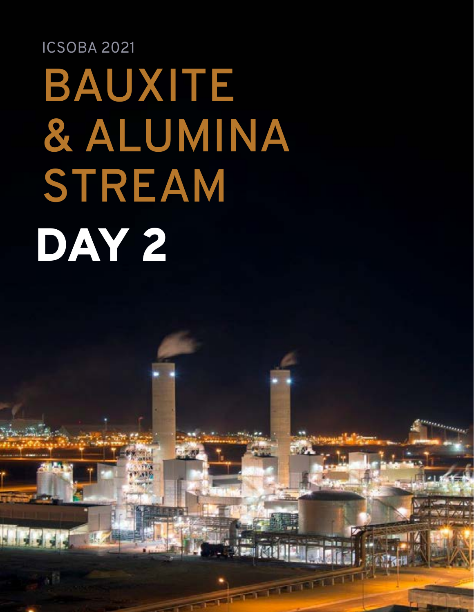## ICSOBA 2021 **BAUXITE & ALUMINA STREAM** DAY 2

TERRET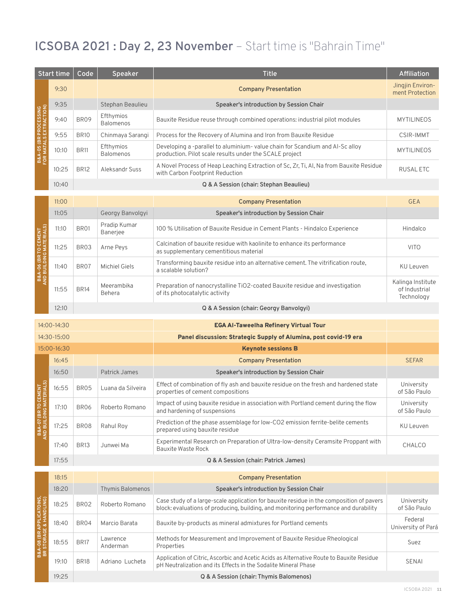#### **ICSOBA 2021 : Day 2, 23 November** – Start time is "Bahrain Time"

|                                                                    | Start time  | Code        | Speaker                       | <b>Title</b>                                                                                                                                                                     | Affiliation                                      |
|--------------------------------------------------------------------|-------------|-------------|-------------------------------|----------------------------------------------------------------------------------------------------------------------------------------------------------------------------------|--------------------------------------------------|
|                                                                    | 9:30        |             |                               | <b>Company Presentation</b>                                                                                                                                                      | Jingjin Environ-<br>ment Protection              |
|                                                                    | 9:35        |             | Stephan Beaulieu              | Speaker's introduction by Session Chair                                                                                                                                          |                                                  |
| RACTION)<br><b>PROCESSING</b>                                      | 9:40        | <b>BR09</b> | Efthymios<br><b>Balomenos</b> | Bauxite Residue reuse through combined operations: industrial pilot modules                                                                                                      | <b>MYTILINEOS</b>                                |
| Σ                                                                  | 9:55        | <b>BR10</b> | Chinmaya Sarangi              | Process for the Recovery of Alumina and Iron from Bauxite Residue                                                                                                                | <b>CSIR-IMMT</b>                                 |
| B&A-05 (BR I<br>FOR MATALS                                         | 10:10       | <b>BR11</b> | Efthymios<br><b>Balomenos</b> | Developing a -parallel to aluminium- value chain for Scandium and Al-Sc alloy<br>production. Pilot scale results under the SCALE project                                         | <b>MYTILINEOS</b>                                |
|                                                                    | 10:25       | <b>BR12</b> | Aleksandr Suss                | A Novel Process of Heap Leaching Extraction of Sc, Zr, Ti, Al, Na from Bauxite Residue<br>with Carbon Footprint Reduction                                                        | <b>RUSALETC</b>                                  |
|                                                                    | 10:40       |             |                               | Q & A Session (chair: Stephan Beaulieu)                                                                                                                                          |                                                  |
|                                                                    | 11:00       |             |                               | <b>Company Presentation</b>                                                                                                                                                      | <b>GEA</b>                                       |
|                                                                    | 11:05       |             | Georgy Banvolgyi              | Speaker's introduction by Session Chair                                                                                                                                          |                                                  |
| ERIALS)<br>CEMENT                                                  | 11:10       | <b>BR01</b> | Pradip Kumar<br>Banerjee      | 100 % Utilisation of Bauxite Residue in Cement Plants - Hindalco Experience                                                                                                      | Hindalco                                         |
| P                                                                  | 11:25       | BR03        | Arne Peys                     | Calcination of bauxite residue with kaolinite to enhance its performance<br>as supplementary cementitious material                                                               | <b>VITO</b>                                      |
| <b>AND BUILDING</b><br>(BR<br>B&A-06                               | 11:40       | BR07        | <b>Michiel Giels</b>          | Transforming bauxite residue into an alternative cement. The vitrification route,<br>a scalable solution?                                                                        | <b>KU Leuven</b>                                 |
|                                                                    | 11:55       | <b>BR14</b> | Meerambika<br>Behera          | Preparation of nanocrystalline TiO2-coated Bauxite residue and investigation<br>of its photocatalytic activity                                                                   | Kalinga Institute<br>of Industrial<br>Technology |
|                                                                    | 12:10       |             |                               | Q & A Session (chair: Georgy Banvolgyi)                                                                                                                                          |                                                  |
|                                                                    | 14:00-14:30 |             |                               | <b>EGA AI-Taweelha Refinery Virtual Tour</b>                                                                                                                                     |                                                  |
|                                                                    | 14:30-15:00 |             |                               | Panel discussion: Strategic Supply of Alumina, post covid-19 era                                                                                                                 |                                                  |
|                                                                    | 15:00-16:30 |             |                               | <b>Keynote sessions B</b>                                                                                                                                                        |                                                  |
|                                                                    | 16:45       |             |                               | <b>Company Presentation</b>                                                                                                                                                      | <b>SEFAR</b>                                     |
|                                                                    | 16:50       |             | Patrick James                 | Speaker's introduction by Session Chair                                                                                                                                          |                                                  |
| <b>CEMENT</b>                                                      | 16:55       | BR05        | Luana da Silveira             | Effect of combination of fly ash and bauxite residue on the fresh and hardened state<br>properties of cement compositions                                                        | University<br>of São Paulo                       |
|                                                                    | 17:10       | <b>BR06</b> | Roberto Romano                | Impact of using bauxite residue in association with Portland cement during the flow<br>and hardening of suspensions                                                              | University<br>of São Paulo                       |
| <b>B&amp;A-O7 (BR</b><br>AND BUILDIN                               | 17:25       | BR08        | Rahul Roy                     | Prediction of the phase assemblage for low-CO2 emission ferrite-belite cements<br>prepared using bauxite residue                                                                 | <b>KU Leuven</b>                                 |
|                                                                    | 17:40       | <b>BR13</b> | Junwei Ma                     | Experimental Research on Preparation of Ultra-low-density Ceramsite Proppant with<br><b>Bauxite Waste Rock</b>                                                                   | CHALCO                                           |
|                                                                    | 17:55       |             |                               | Q & A Session (chair: Patrick James)                                                                                                                                             |                                                  |
|                                                                    | 18:15       |             |                               | <b>Company Presentation</b>                                                                                                                                                      |                                                  |
|                                                                    | 18:20       |             | <b>Thymis Balomenos</b>       | Speaker's introduction by Session Chair                                                                                                                                          |                                                  |
|                                                                    | 18:25       | BR02        | Roberto Romano                | Case study of a large-scale application for bauxite residue in the composition of pavers<br>block: evaluations of producing, building, and monitoring performance and durability | University<br>of São Paulo                       |
|                                                                    | 18:40       | BR04        | Marcio Barata                 | Bauxite by-products as mineral admixtures for Portland cements                                                                                                                   | Federal<br>University of Pará                    |
| <b>B&amp;A-08 (BR APPLICATOINS,<br/>BR STORAGE &amp; HANDLING)</b> | 18:55       | <b>BR17</b> | Lawrence<br>Anderman          | Methods for Measurement and Improvement of Bauxite Residue Rheological<br>Properties                                                                                             | Suez                                             |
|                                                                    | 19:10       | <b>BR18</b> | Adriano Lucheta               | Application of Citric, Ascorbic and Acetic Acids as Alternative Route to Bauxite Residue<br>pH Neutralization and its Effects in the Sodalite Mineral Phase                      | SENAI                                            |
|                                                                    | 19:25       |             |                               | Q & A Session (chair: Thymis Balomenos)                                                                                                                                          |                                                  |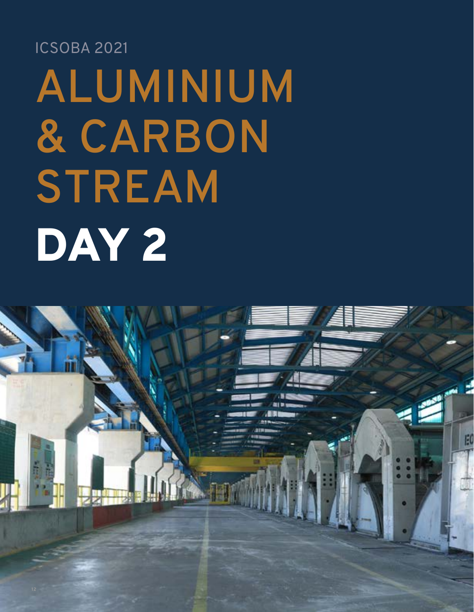## ICSOBA 2021 **ALUMINIUM & CARBON STREAM** DAY 2

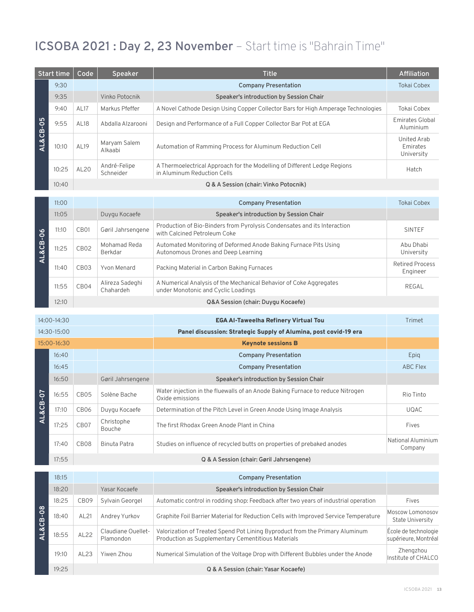#### **ICSOBA 2021 : Day 2, 23 November** – Start time is "Bahrain Time"

| Start time |       | Code             | <b>Speaker</b>               | <b>Title</b>                                                                                              | <b>Affiliation</b>                    |
|------------|-------|------------------|------------------------------|-----------------------------------------------------------------------------------------------------------|---------------------------------------|
|            | 9:30  |                  |                              | <b>Company Presentation</b>                                                                               | <b>Tokai Cobex</b>                    |
|            | 9:35  |                  | Vinko Potocnik               | Speaker's introduction by Session Chair                                                                   |                                       |
|            | 9:40  | AL17             | Markus Pfeffer               | A Novel Cathode Design Using Copper Collector Bars for High Amperage Technologies                         | <b>Tokai Cobex</b>                    |
| AL&CB-05   | 9:55  | AL18             | Abdalla Alzarooni            | Design and Performance of a Full Copper Collector Bar Pot at EGA                                          | <b>Emirates Global</b><br>Aluminium   |
|            | 10:10 | AL19             | Maryam Salem<br>Alkaabi      | Automation of Ramming Process for Aluminum Reduction Cell                                                 | United Arab<br>Emirates<br>University |
|            | 10:25 | AL20             | André-Felipe<br>Schneider    | A Thermoelectrical Approach for the Modelling of Different Ledge Regions<br>in Aluminum Reduction Cells   | Hatch                                 |
|            | 10:40 |                  |                              | Q & A Session (chair: Vinko Potocnik)                                                                     |                                       |
|            |       |                  |                              |                                                                                                           |                                       |
|            | 11:00 |                  |                              | <b>Company Presentation</b>                                                                               | Tokai Cobex                           |
|            | 11:05 |                  | Duygu Kocaefe                | Speaker's introduction by Session Chair                                                                   |                                       |
|            | 11:10 | CB <sub>01</sub> | Gøril Jahrsengene            | Production of Bio-Binders from Pyrolysis Condensates and its Interaction<br>with Calcined Petroleum Coke  | <b>SINTEF</b>                         |
| AL&CB-06   | 11:25 | CB <sub>02</sub> | Mohamad Reda<br>Berkdar      | Automated Monitoring of Deformed Anode Baking Furnace Pits Using<br>Autonomous Drones and Deep Learning   | Abu Dhabi<br>University               |
|            | 11:40 | CB <sub>03</sub> | Yvon Menard                  | Packing Material in Carbon Baking Furnaces                                                                | <b>Retired Process</b><br>Engineer    |
|            | 11:55 | CB04             | Alireza Sadeghi<br>Chahardeh | A Numerical Analysis of the Mechanical Behavior of Coke Aggregates<br>under Monotonic and Cyclic Loadings | REGAL                                 |
|            | 12:10 |                  |                              | Q&A Session (chair: Duygu Kocaefe)                                                                        |                                       |

| $14:00 - 14:30$       |       |                  |                      | <b>EGA AI-Taweelha Refinery Virtual Tou</b>                                                       | Trimet                        |
|-----------------------|-------|------------------|----------------------|---------------------------------------------------------------------------------------------------|-------------------------------|
| $14:30-15:00$         |       |                  |                      | Panel discussion: Strategic Supply of Alumina, post covid-19 era                                  |                               |
| 15:00-16:30           |       |                  |                      | <b>Keynote sessions B</b>                                                                         |                               |
|                       | 16:40 |                  |                      | <b>Company Presentation</b>                                                                       | Epig                          |
|                       | 16:45 |                  |                      | <b>Company Presentation</b>                                                                       | <b>ABC Flex</b>               |
|                       | 16:50 |                  | Gøril Jahrsengene    | Speaker's introduction by Session Chair                                                           |                               |
| $\overline{AL}\&CB-0$ | 16:55 | CB <sub>05</sub> | Solène Bache         | Water injection in the fluewalls of an Anode Baking Furnace to reduce Nitrogen<br>Oxide emissions | Rio Tinto                     |
|                       | 17:10 | CB <sub>06</sub> | Duygu Kocaefe        | Determination of the Pitch Level in Green Anode Using Image Analysis                              | <b>UQAC</b>                   |
|                       | 17:25 | CB <sub>07</sub> | Christophe<br>Bouche | The first Rhodax Green Anode Plant in China                                                       | Fives                         |
|                       | 17:40 | CB <sub>08</sub> | Binuta Patra         | Studies on influence of recycled butts on properties of prebaked anodes                           | National Aluminium<br>Company |
|                       | 17:55 |                  |                      | Q & A Session (chair: Gøril Jahrsengene)                                                          |                               |

|          | 18:15 |                  |                                 | <b>Company Presentation</b>                                                                                                        |                                              |
|----------|-------|------------------|---------------------------------|------------------------------------------------------------------------------------------------------------------------------------|----------------------------------------------|
| AL&CB-08 | 18:20 |                  | Yasar Kocaefe                   | Speaker's introduction by Session Chair                                                                                            |                                              |
|          | 18:25 | CB <sub>09</sub> | Sylvain Georgel                 | Automatic control in rodding shop: Feedback after two years of industrial operation                                                | Fives                                        |
|          | 18:40 | AL21             | Andrey Yurkov                   | Graphite Foil Barrier Material for Reduction Cells with Improved Service Temperature                                               | Moscow Lomonosov<br>State University         |
|          | 18:55 | AL22             | Claudiane Ouellet-<br>Plamondon | Valorization of Treated Spend Pot Lining Byproduct from the Primary Aluminum<br>Production as Supplementary Cementitious Materials | École de technologie<br>supérieure, Montréal |
|          | 19:10 | AL23             | Yiwen Zhou                      | Numerical Simulation of the Voltage Drop with Different Bubbles under the Anode                                                    | Zhengzhou<br>Institute of CHALCO             |
|          | 19:25 |                  |                                 | Q & A Session (chair: Yasar Kocaefe)                                                                                               |                                              |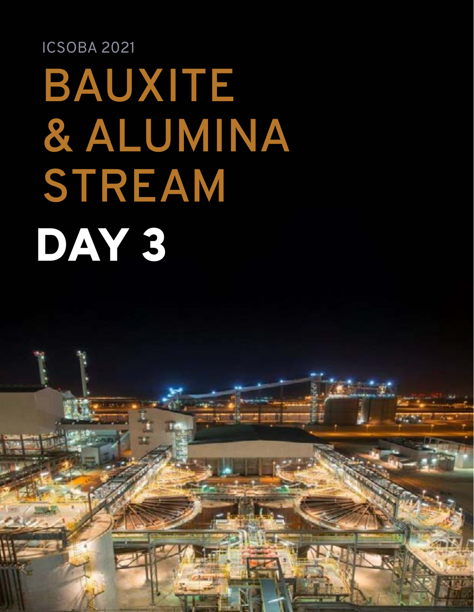## ICSOBA 2021 **BAUXITE & ALUMINA STREAM** DAY 3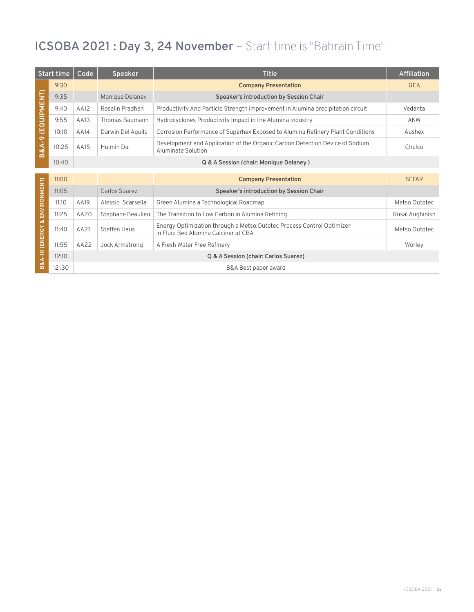#### **ICSOBA 2021 : Day 3, 24 November** – Start time is "Bahrain Time"

|                                 | Start time | Code | <b>Speaker</b>        | <b>Title</b>                                                                                                   | <b>Affiliation</b> |
|---------------------------------|------------|------|-----------------------|----------------------------------------------------------------------------------------------------------------|--------------------|
|                                 | 9:30       |      |                       | <b>Company Presentation</b>                                                                                    | <b>GEA</b>         |
|                                 | 9:35       |      | Monique Delaney       | Speaker's introduction by Session Chair                                                                        |                    |
| (EQUIPMENT)<br><b>B&amp;A-9</b> | 9:40       | AA12 | Rosalin Pradhan       | Productivity And Particle Strength improvement in Alumina precipitation circuit                                | Vedanta            |
|                                 | 9:55       | AA13 | <b>Thomas Baumann</b> | Hydrocyclones Productivity Impact in the Alumina Industry                                                      | AKW                |
|                                 | 10:10      | AA14 | Darwin Del Aquila     | Corrosion Performance of Superhex Exposed to Alumina Refinery Plant Conditions                                 | Aushex             |
|                                 | 10:25      | AA15 | Huimin Dai            | Development and Application of the Organic Carbon Detection Device of Sodium<br>Aluminate Solution             | Chalco             |
|                                 | 10:40      |      |                       | Q & A Session (chair: Monique Delaney)                                                                         |                    |
|                                 | 11:00      |      |                       | <b>Company Presentation</b>                                                                                    | <b>SEFAR</b>       |
| ENVIRONMENT)                    | 11:05      |      | Carlos Suarez         | Speaker's introduction by Session Chair                                                                        |                    |
|                                 | 11:10      | AA19 | Alessio Scarsella     | Green Alumina a Technological Roadmap                                                                          | Metso Outotec      |
|                                 | 11:25      | AA20 | Stephane Beaulieu     | The Transition to Low Carbon in Alumina Refining                                                               | Rusal Aughinish    |
| οð<br>B&A-10 (ENERGY            | 11:40      | AA21 | Steffen Haus          | Energy Optimization through a Metso: Outotec Process Control Optimizer<br>in Fluid Bed Alumina Calciner at CBA | Metso Outotec      |
|                                 | 11:55      | AA22 | Jock Armstrong        | A Fresh Water Free Refinery                                                                                    | Worley             |
|                                 | 12:10      |      |                       | Q & A Session (chair: Carlos Suarez)                                                                           |                    |
|                                 | 12:30      |      |                       | B&A Best paper award                                                                                           |                    |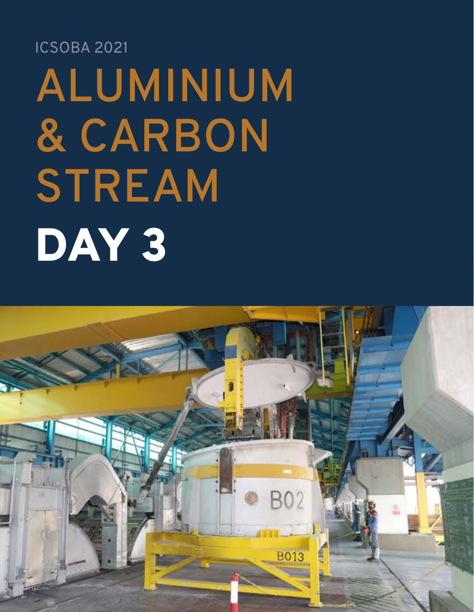## **ALUMINIUM & CARBON STREAM** ICSOBA 2021 DAY 3

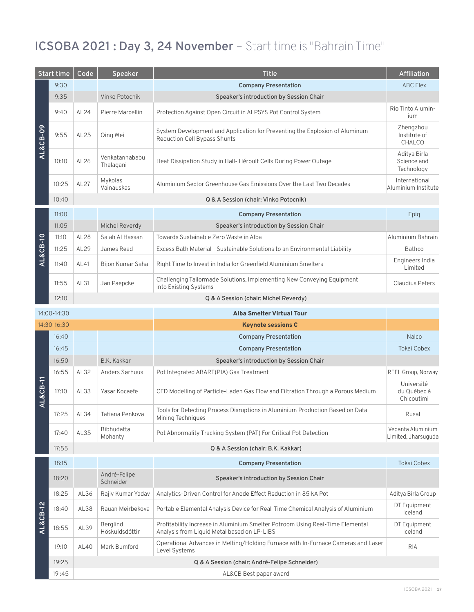#### **ICSOBA 2021 : Day 3, 24 November** – Start time is "Bahrain Time"

| <b>Start time</b> |             | Code        | Speaker                     | <b>Title</b>                                                                                                                 | Affiliation                               |
|-------------------|-------------|-------------|-----------------------------|------------------------------------------------------------------------------------------------------------------------------|-------------------------------------------|
|                   | 9:30        |             |                             | <b>Company Presentation</b>                                                                                                  | <b>ABC Flex</b>                           |
|                   | 9:35        |             | Vinko Potocnik              | Speaker's introduction by Session Chair                                                                                      |                                           |
|                   | 9:40        | AL24        | Pierre Marcellin            | Protection Against Open Circuit in ALPSYS Pot Control System                                                                 | Rio Tinto Alumin-<br>ium                  |
| AL&CB-09          | 9:55        | AL25        | Qing Wei                    | System Development and Application for Preventing the Explosion of Aluminum<br>Reduction Cell Bypass Shunts                  | Zhengzhou<br>Institute of<br>CHALCO       |
|                   | 10:10       | AL26        | Venkatannababu<br>Thalagani | Heat Dissipation Study in Hall-Héroult Cells During Power Outage                                                             | Aditya Birla<br>Science and<br>Technology |
|                   | 10:25       | <b>AL27</b> | Mykolas<br>Vainauskas       | Aluminium Sector Greenhouse Gas Emissions Over the Last Two Decades                                                          | International<br>Aluminium Institute      |
|                   | 10:40       |             |                             | Q & A Session (chair: Vinko Potocnik)                                                                                        |                                           |
|                   | 11:00       |             |                             | <b>Company Presentation</b>                                                                                                  | Epig                                      |
|                   | 11:05       |             | Michel Reverdy              | Speaker's introduction by Session Chair                                                                                      |                                           |
|                   | 11:10       | AL28        | Salah Al Hassan             | Towards Sustainable Zero Waste in Alba                                                                                       | Aluminium Bahrain                         |
| AL&CB-10          | 11:25       | AL29        | James Read                  | Excess Bath Material - Sustainable Solutions to an Environmental Liability                                                   | <b>Bathco</b>                             |
|                   | 11:40       | AL41        | Bijon Kumar Saha            | Right Time to Invest in India for Greenfield Aluminium Smelters                                                              | Engineers India<br>Limited                |
|                   | 11:55       | AL31        | Jan Paepcke                 | Challenging Tailormade Solutions, Implementing New Conveying Equipment<br>into Existing Systems                              | <b>Claudius Peters</b>                    |
|                   | 12:10       |             |                             | Q & A Session (chair: Michel Reverdy)                                                                                        |                                           |
|                   | 14:00-14:30 |             |                             | <b>Alba Smelter Virtual Tour</b>                                                                                             |                                           |
|                   | 14:30-16:30 |             |                             | <b>Keynote sessions C</b>                                                                                                    |                                           |
|                   | 16:40       |             |                             | <b>Company Presentation</b>                                                                                                  | Nalco                                     |
|                   | 16:45       |             |                             | <b>Company Presentation</b>                                                                                                  | <b>Tokai Cobex</b>                        |
|                   |             |             |                             |                                                                                                                              |                                           |
|                   | 16:50       |             | B.K. Kakkar                 | Speaker's introduction by Session Chair                                                                                      |                                           |
|                   | 16:55       | AL32        | Anders Sørhuus              | Pot Integrated ABART(PIA) Gas Treatment                                                                                      | REEL Group, Norway                        |
|                   | 17:10       | AL33        | Yasar Kocaefe               | CFD Modelling of Particle-Laden Gas Flow and Filtration Through a Porous Medium                                              | Université<br>du Québec à<br>Chicoutimi   |
| AL&CB-11          | 17:25       | AL34        | Tatiana Penkova             | Tools for Detecting Process Disruptions in Aluminium Production Based on Data<br>Mining Techniques                           | Rusal                                     |
|                   | 17:40       | AL35        | Bibhudatta<br>Mohanty       | Pot Abnormality Tracking System (PAT) For Critical Pot Detection                                                             | Vedanta Aluminium<br>Limited, Jharsuguda  |
|                   | 17:55       |             |                             | Q & A Session (chair: B.K. Kakkar)                                                                                           |                                           |
|                   | 18:15       |             |                             | <b>Company Presentation</b>                                                                                                  | <b>Tokai Cobex</b>                        |
|                   | 18:20       |             | André-Felipe<br>Schneider   | Speaker's introduction by Session Chair                                                                                      |                                           |
|                   | 18:25       | AL36        | Rajiv Kumar Yadav           | Analytics-Driven Control for Anode Effect Reduction in 85 kA Pot                                                             | Aditya Birla Group                        |
|                   | 18:40       | AL38        | Rauan Meirbekova            | Portable Elemental Analysis Device for Real-Time Chemical Analysis of Aluminium                                              | DT Equipment<br>Iceland                   |
| AL&CB-12          | 18:55       | AL39        | Berglind<br>Höskuldsdóttir  | Profitability Increase in Aluminium Smelter Potroom Using Real-Time Elemental<br>Analysis from Liquid Metal based on LP-LIBS | DT Equipment<br>Iceland                   |
|                   | 19:10       | AL40        | Mark Bumford                | Operational Advances in Melting/Holding Furnace with In-Furnace Cameras and Laser<br>Level Systems                           | <b>RIA</b>                                |
|                   | 19:25       |             |                             | Q & A Session (chair: André-Felipe Schneider)                                                                                |                                           |